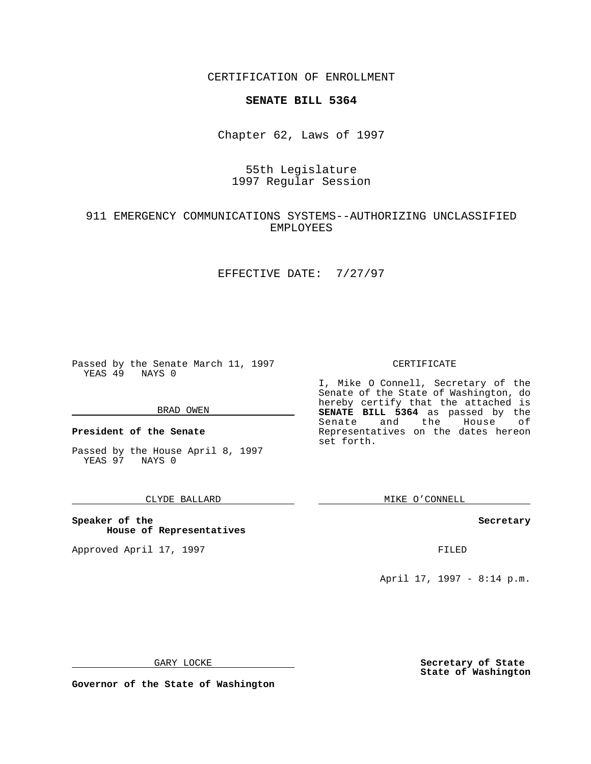CERTIFICATION OF ENROLLMENT

# **SENATE BILL 5364**

Chapter 62, Laws of 1997

# 55th Legislature 1997 Regular Session

## 911 EMERGENCY COMMUNICATIONS SYSTEMS--AUTHORIZING UNCLASSIFIED EMPLOYEES

### EFFECTIVE DATE: 7/27/97

Passed by the Senate March 11, 1997 YEAS 49 NAYS 0

#### BRAD OWEN

**President of the Senate**

Passed by the House April 8, 1997 YEAS 97 NAYS 0

### CLYDE BALLARD

**Speaker of the House of Representatives**

Approved April 17, 1997 **FILED** 

CERTIFICATE

I, Mike O Connell, Secretary of the Senate of the State of Washington, do hereby certify that the attached is **SENATE BILL 5364** as passed by the Senate and the House of Representatives on the dates hereon set forth.

MIKE O'CONNELL

#### **Secretary**

April 17, 1997 - 8:14 p.m.

GARY LOCKE

**Governor of the State of Washington**

**Secretary of State State of Washington**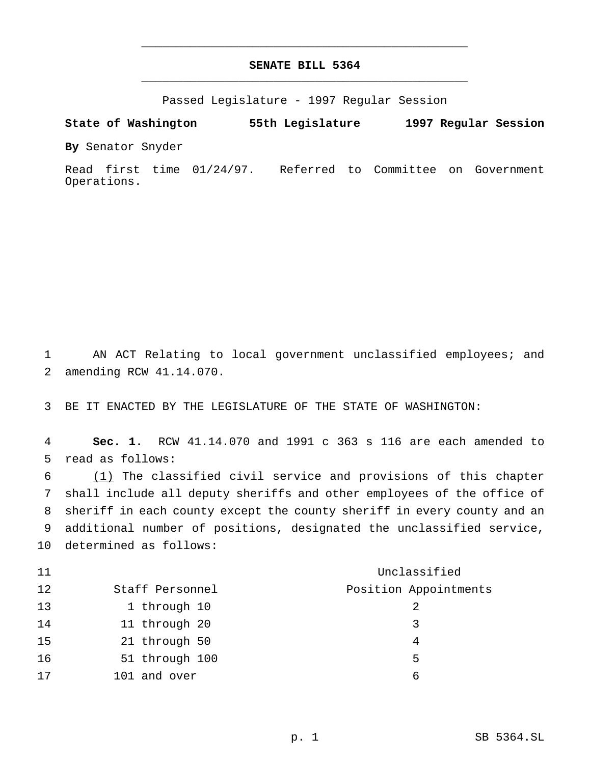# **SENATE BILL 5364** \_\_\_\_\_\_\_\_\_\_\_\_\_\_\_\_\_\_\_\_\_\_\_\_\_\_\_\_\_\_\_\_\_\_\_\_\_\_\_\_\_\_\_\_\_\_\_

\_\_\_\_\_\_\_\_\_\_\_\_\_\_\_\_\_\_\_\_\_\_\_\_\_\_\_\_\_\_\_\_\_\_\_\_\_\_\_\_\_\_\_\_\_\_\_

Passed Legislature - 1997 Regular Session

**State of Washington 55th Legislature 1997 Regular Session**

**By** Senator Snyder

Read first time 01/24/97. Referred to Committee on Government Operations.

 AN ACT Relating to local government unclassified employees; and amending RCW 41.14.070.

BE IT ENACTED BY THE LEGISLATURE OF THE STATE OF WASHINGTON:

 **Sec. 1.** RCW 41.14.070 and 1991 c 363 s 116 are each amended to read as follows:

 (1) The classified civil service and provisions of this chapter shall include all deputy sheriffs and other employees of the office of sheriff in each county except the county sheriff in every county and an additional number of positions, designated the unclassified service, determined as follows:

| 11 |                 | Unclassified          |
|----|-----------------|-----------------------|
| 12 | Staff Personnel | Position Appointments |
| 13 | 1 through 10    |                       |
| 14 | 11 through 20   | 3                     |
| 15 | 21 through 50   |                       |
| 16 | 51 through 100  | 5                     |
| 17 | 101 and over    | ศ                     |